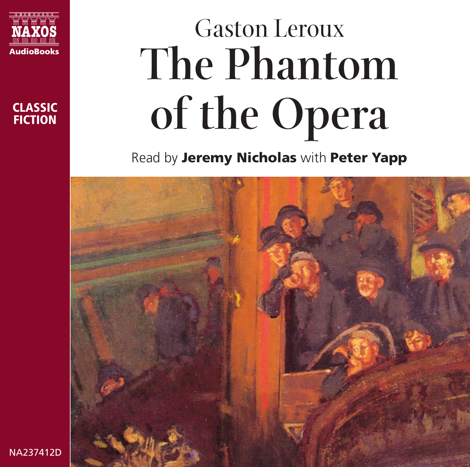



# Gaston Leroux **The Phantom of the Opera**

Read by **Jeremy Nicholas** with **Peter Yapp**



NA237412D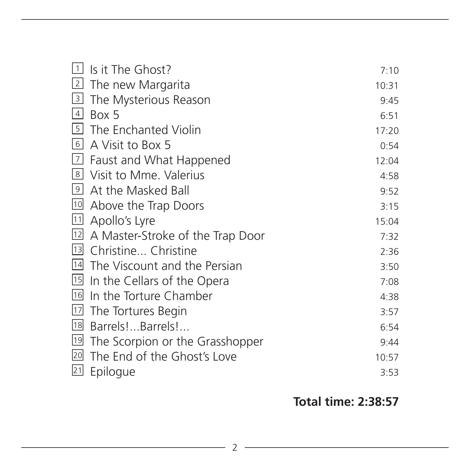|                                       | 7:10             |
|---------------------------------------|------------------|
| [2] The new Margarita                 | 10:31            |
| $\boxed{3}$<br>The Mysterious Reason  | 9:45             |
| Box 5                                 | 6:51             |
| The Enchanted Violin                  | 17:20            |
| 6 <br>A Visit to Box 5                | 0:54             |
| $\sqrt{7}$<br>Faust and What Happened | 12:04            |
| 의 Visit to Mme. Valerius              | 4:58             |
| At the Masked Ball                    | 9:52             |
| Above the Trap Doors                  | 3:15             |
| Apollo's Lyre                         | 15:04            |
| 12 A Master-Stroke of the Trap Door   | 7:32             |
| 13 Christine Christine                | 2:36             |
| 14<br>The Viscount and the Persian    | 3:50             |
| II In the Cellars of the Opera        | 7:08             |
| In the Torture Chamber                | 4:38             |
| 17<br>The Tortures Begin              | 3:57             |
| Barrels!Barrels!                      | 6:54             |
| The Scorpion or the Grasshopper       | 9:44             |
| The End of the Ghost's Love           | 10:57            |
| Epilogue                              | 3:53             |
| 1                                     | Is it The Ghost? |

#### **Total time: 2:38:57**

<u> 1989 - Johann Barn, mars ann an t-Amhair an t-A</u>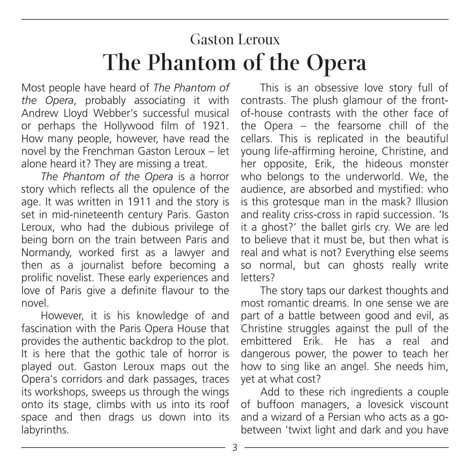### Gaston Leroux **The Phantom of the Opera**

Most people have heard of *The Phantom of the Opera*, probably associating it with Andrew Lloyd Webber's successful musical or perhaps the Hollywood film of 1921. How many people, however, have read the novel by the Frenchman Gaston Leroux – let alone heard it? They are missing a treat.

*The Phantom of the Opera* is a horror story which reflects all the opulence of the age. It was written in 1911 and the story is set in mid-nineteenth century Paris. Gaston Leroux, who had the dubious privilege of being born on the train between Paris and Normandy, worked first as a lawyer and then as a journalist before becoming a prolific novelist. These early experiences and love of Paris give a definite flavour to the novel.

However, it is his knowledge of and fascination with the Paris Opera House that provides the authentic backdrop to the plot. It is here that the gothic tale of horror is played out. Gaston Leroux maps out the Opera's corridors and dark passages, traces its workshops, sweeps us through the wings onto its stage, climbs with us into its roof space and then drags us down into its labyrinths.

This is an obsessive love story full of contrasts. The plush glamour of the frontof-house contrasts with the other face of the Opera – the fearsome chill of the cellars. This is replicated in the beautiful young life-affirming heroine, Christine, and her opposite, Erik, the hideous monster who belongs to the underworld. We, the audience, are absorbed and mystified: who is this grotesque man in the mask? Illusion and reality criss-cross in rapid succession. 'Is it a ghost?' the ballet girls cry. We are led to believe that it must be, but then what is real and what is not? Everything else seems so normal, but can ghosts really write letters?

The story taps our darkest thoughts and most romantic dreams. In one sense we are part of a battle between good and evil, as Christine struggles against the pull of the embittered Erik. He has a real and dangerous power, the power to teach her how to sing like an angel. She needs him, yet at what cost?

Add to these rich ingredients a couple of buffoon managers, a lovesick viscount and a wizard of a Persian who acts as a gobetween 'twixt light and dark and you have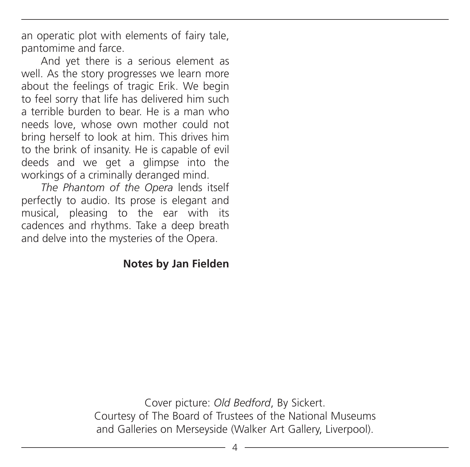an operatic plot with elements of fairy tale, pantomime and farce.

And yet there is a serious element as well. As the story progresses we learn more about the feelings of tragic Erik. We begin to feel sorry that life has delivered him such a terrible burden to bear. He is a man who needs love, whose own mother could not bring herself to look at him. This drives him to the brink of insanity. He is capable of evil deeds and we get a glimpse into the workings of a criminally deranged mind.

*The Phantom of the Opera* lends itself perfectly to audio. Its prose is elegant and musical, pleasing to the ear with its cadences and rhythms. Take a deep breath and delve into the mysteries of the Opera.

#### **Notes by Jan Fielden**

Cover picture: *Old Bedford*, By Sickert. Courtesy of The Board of Trustees of the National Museums and Galleries on Merseyside (Walker Art Gallery, Liverpool).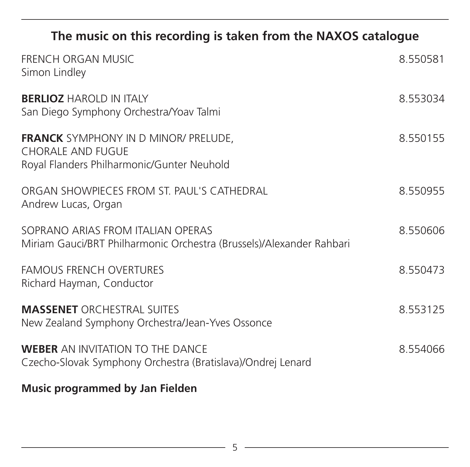#### **The music on this recording is taken from the NAXOS catalogue**

| FRENCH ORGAN MUSIC<br>Simon Lindley                                                                                   | 8.550581 |
|-----------------------------------------------------------------------------------------------------------------------|----------|
| <b>BERLIOZ HAROLD IN ITALY</b><br>San Diego Symphony Orchestra/Yoav Talmi                                             | 8.553034 |
| <b>FRANCK</b> SYMPHONY IN D MINOR/ PRELUDE,<br><b>CHORALE AND FUGUE</b><br>Royal Flanders Philharmonic/Gunter Neuhold | 8.550155 |
| ORGAN SHOWPIFCES FROM ST PAUL'S CATHEDRAL<br>Andrew Lucas, Organ                                                      | 8.550955 |
| SOPRANO ARIAS FROM ITALIAN OPERAS<br>Miriam Gauci/BRT Philharmonic Orchestra (Brussels)/Alexander Rahbari             | 8.550606 |
| <b>FAMOUS FRENCH OVERTURES</b><br>Richard Hayman, Conductor                                                           | 8.550473 |
| <b>MASSENET ORCHESTRAL SUITES</b><br>New Zealand Symphony Orchestra/Jean-Yves Ossonce                                 | 8553125  |
| <b>WEBER</b> AN INVITATION TO THE DANCE<br>Czecho-Slovak Symphony Orchestra (Bratislava)/Ondrej Lenard                | 8.554066 |

**Music programmed by Jan Fielden**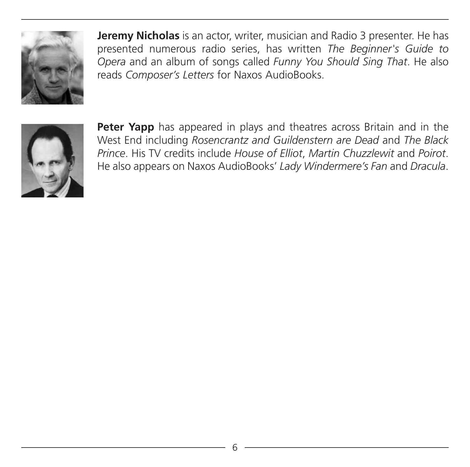

**Jeremy Nicholas** is an actor, writer, musician and Radio 3 presenter. He has presented numerous radio series, has written *The Beginner's Guide to Opera* and an album of songs called *Funny You Should Sing That*. He also reads *Composer's Letters* for Naxos AudioBooks.



**Peter Yapp** has appeared in plays and theatres across Britain and in the West End including *Rosencrantz and Guildenstern are Dead* and *The Black Prince*. His TV credits include *House of Elliot*, *Martin Chuzzlewit* and *Poirot*. He also appears on Naxos AudioBooks' *Lady Windermere's Fan* and *Dracula*.